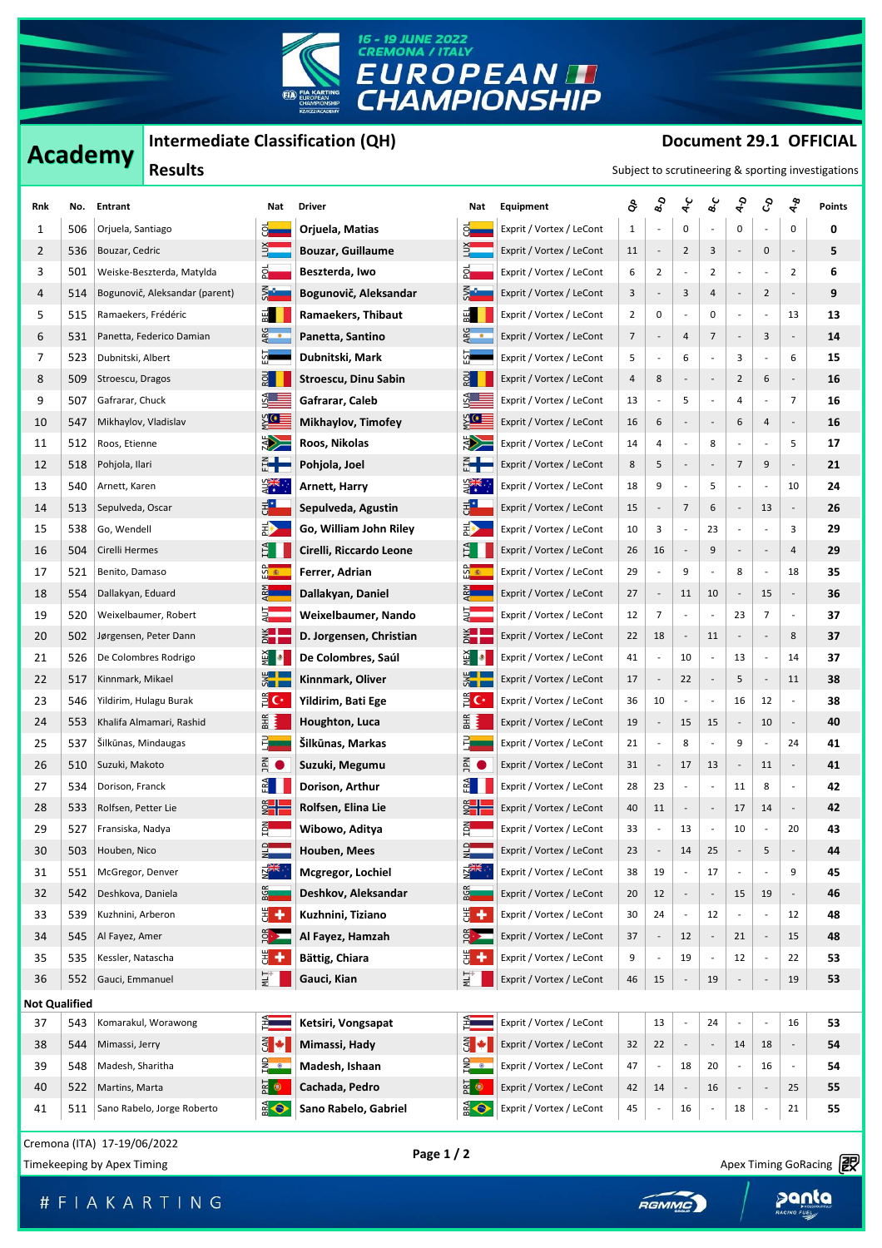

## **Academy** Intermediate Classification (QH) **Document 29.1 OFFICIAL**<br> **Intermediate Classification (QH) Description in the Subject of Continues in the Subject of Continues in the Continues of the Continues in the Continue**

| $n$ . The condition of $\alpha$ is a contribution of $\alpha$<br><b>Academy</b> |                      |                                                           |                            |                             |                          |                           |                          | POLUITEIIL 43.1 VITILIAL |                              |                          |                              |                          |                          |                          |                        |  |  |
|---------------------------------------------------------------------------------|----------------------|-----------------------------------------------------------|----------------------------|-----------------------------|--------------------------|---------------------------|--------------------------|--------------------------|------------------------------|--------------------------|------------------------------|--------------------------|--------------------------|--------------------------|------------------------|--|--|
| <b>Results</b><br>Subject to scrutineering & sporting investigations            |                      |                                                           |                            |                             |                          |                           |                          |                          |                              |                          |                              |                          |                          |                          |                        |  |  |
| Rnk                                                                             | No.                  | Entrant                                                   |                            | Nat                         | <b>Driver</b>            | Nat                       | Equipment                | ô                        | $\mathbf{s}_{o}$             | ५                        | م<br>ھ                       | ५२                       | ද                        | ৼ৾                       | Points                 |  |  |
| 1                                                                               | 506                  | Orjuela, Santiago                                         |                            | ႙ႃ                          | Orjuela, Matias          | ္မူ                       | Exprit / Vortex / LeCont | $\mathbf{1}$             | $\overline{\phantom{a}}$     | 0                        |                              | 0                        |                          | 0                        | 0                      |  |  |
| 2                                                                               | 536                  | Bouzar, Cedric                                            |                            |                             | <b>Bouzar, Guillaume</b> | 의                         | Exprit / Vortex / LeCont | 11                       | $\overline{\phantom{a}}$     | 2                        | 3                            | $\overline{\phantom{a}}$ | 0                        |                          | 5                      |  |  |
| 3                                                                               | 501                  | Weiske-Beszterda, Matylda                                 |                            | 합                           | Beszterda, Iwo           | 앏                         | Exprit / Vortex / LeCont | 6                        | $\overline{2}$               |                          | 2                            | $\blacksquare$           |                          | $\overline{2}$           | 6                      |  |  |
| 4                                                                               | 514                  | Bogunovič, Aleksandar (parent)                            |                            | ⋚ <mark>ैं</mark>           | Bogunovič, Aleksandar    | <b>SM</b>                 | Exprit / Vortex / LeCont | 3                        | $\overline{\phantom{a}}$     | 3                        | 4                            | f                        | $\overline{2}$           |                          | 9                      |  |  |
| 5                                                                               | 515                  | Ramaekers, Frédéric                                       |                            | E                           | Ramaekers, Thibaut       | BEI                       | Exprit / Vortex / LeCont | $\overline{2}$           | 0                            |                          | 0                            | $\overline{\phantom{a}}$ | $\overline{\phantom{a}}$ | 13                       | 13                     |  |  |
| 6                                                                               | 531                  | Panetta, Federico Damian                                  |                            | ARG<br>•                    | Panetta, Santino         | ARG<br>•                  | Exprit / Vortex / LeCont | 7                        | $\overline{\phantom{a}}$     | 4                        | 7                            | $\overline{\phantom{a}}$ | 3                        | $\overline{\phantom{a}}$ | 14                     |  |  |
| 7                                                                               | 523                  | Dubnitski, Albert                                         |                            | 집                           | Dubnitski, Mark          | 요                         | Exprit / Vortex / LeCont | 5                        | $\overline{\phantom{a}}$     | 6                        |                              | 3                        |                          | 6                        | 15                     |  |  |
| 8                                                                               | 509                  | Stroescu, Dragos                                          |                            | $rac{1}{2}$                 | Stroescu, Dinu Sabin     | $rac{1}{2}$               | Exprit / Vortex / LeCont | 4                        | $\bf 8$                      |                          | $\qquad \qquad \blacksquare$ | $\overline{2}$           | 6                        | $\frac{1}{2}$            | 16                     |  |  |
| 9                                                                               | 507                  | Gafrarar, Chuck                                           |                            |                             | Gafrarar, Caleb          | SA<br>Album               | Exprit / Vortex / LeCont | 13                       | $\overline{\phantom{a}}$     | 5                        |                              | 4                        |                          | $\overline{7}$           | 16                     |  |  |
| 10                                                                              | 547                  | Mikhaylov, Vladislav                                      |                            | $\frac{1}{2}$               | Mikhaylov, Timofey       | <u>्ध</u> ≣               | Exprit / Vortex / LeCont | 16                       | 6                            |                          |                              | 6                        | 4                        | $\overline{\phantom{a}}$ | 16                     |  |  |
| 11                                                                              | 512                  | Roos, Etienne                                             |                            | $\leq$                      | Roos, Nikolas            | <b>SEPTER</b>             | Exprit / Vortex / LeCont | 14                       | 4                            |                          | 8                            | $\frac{1}{2}$            |                          | 5                        | 17                     |  |  |
| 12                                                                              | 518                  | Pohjola, Ilari                                            |                            | ╬╋                          | Pohjola, Joel            | ╣╋═                       | Exprit / Vortex / LeCont | 8                        | 5                            |                          | $\qquad \qquad \blacksquare$ | 7                        | 9                        | $\overline{\phantom{a}}$ | 21                     |  |  |
| 13                                                                              | 540                  | Arnett, Karen                                             |                            | $\frac{1}{2}$               | Arnett, Harry            | प्र≫<br>न्दू              | Exprit / Vortex / LeCont | 18                       | 9                            |                          | 5                            | $\frac{1}{2}$            |                          | 10                       | 24                     |  |  |
| 14                                                                              | 513                  | Sepulveda, Oscar                                          |                            | 봉                           | Sepulveda, Agustin       | 봉 <mark>*</mark>          | Exprit / Vortex / LeCont | 15                       | $\overline{\phantom{a}}$     | 7                        | 6                            | $\overline{\phantom{a}}$ | 13                       |                          | 26                     |  |  |
| 15                                                                              | 538                  | Go, Wendell                                               |                            | B)                          | Go, William John Riley   | E)                        | Exprit / Vortex / LeCont | 10                       | 3                            |                          | 23                           | $\overline{\phantom{a}}$ | $\overline{\phantom{a}}$ | 3                        | 29                     |  |  |
| 16                                                                              | 504                  | Cirelli Hermes                                            |                            | E I                         | Cirelli, Riccardo Leone  | E1                        | Exprit / Vortex / LeCont | 26                       | 16                           |                          | 9                            | $\overline{\phantom{a}}$ | $\overline{\phantom{a}}$ | 4                        | 29                     |  |  |
| 17                                                                              | 521                  | Benito, Damaso                                            |                            | <u>ထို ⊛</u>                | Ferrer, Adrian           | <u>ရွိ န</u>              | Exprit / Vortex / LeCont | 29                       | $\overline{\phantom{a}}$     | 9                        |                              | 8                        | $\overline{\phantom{a}}$ | 18                       | 35                     |  |  |
| 18                                                                              | 554                  | Dallakyan, Eduard                                         |                            | 죓.                          | Dallakyan, Daniel        | <u>zh</u>                 | Exprit / Vortex / LeCont | 27                       | $\qquad \qquad \blacksquare$ | 11                       | 10                           | $\overline{\phantom{a}}$ | 15                       |                          | 36                     |  |  |
| 19                                                                              | 520                  | Weixelbaumer, Robert                                      |                            | $\frac{1}{2}$               | Weixelbaumer, Nando      | 뒼                         | Exprit / Vortex / LeCont | 12                       | $\overline{7}$               |                          |                              | 23                       | 7                        |                          | 37                     |  |  |
| 20                                                                              | 502                  | Jørgensen, Peter Dann                                     |                            | Ž <mark>e d</mark>          | D. Jorgensen, Christian  | EN E                      | Exprit / Vortex / LeCont | 22                       | 18                           |                          | 11                           | $\overline{\phantom{a}}$ | $\overline{\phantom{a}}$ | 8                        | 37                     |  |  |
| 21                                                                              | 526                  | De Colombres Rodrigo                                      |                            | <b>REX</b>                  | De Colombres, Saúl       | 젤                         | Exprit / Vortex / LeCont | 41                       | $\blacksquare$               | 10                       |                              | 13                       | $\overline{\phantom{a}}$ | 14                       | 37                     |  |  |
| 22                                                                              | 517                  | Kinnmark, Mikael                                          |                            | $\frac{1}{2}$               | Kinnmark, Oliver         | $\frac{1}{2}$             | Exprit / Vortex / LeCont | 17                       | $\overline{\phantom{a}}$     | 22                       | $\qquad \qquad \blacksquare$ | 5                        | $\overline{\phantom{a}}$ | 11                       | 38                     |  |  |
| 23                                                                              | 546                  |                                                           | Yildirim, Hulagu Burak     | $\frac{3}{2}$ C*            | Yildirim, Bati Ege       | $\frac{3}{2}$ C*          | Exprit / Vortex / LeCont | 36                       | 10                           |                          |                              | 16                       | 12                       |                          | 38                     |  |  |
| 24                                                                              | 553                  |                                                           | Khalifa Almamari, Rashid   | <b>BHR</b>                  | Houghton, Luca           | BНR                       | Exprit / Vortex / LeCont | 19                       |                              | 15                       | 15                           | $\overline{\phantom{a}}$ | 10                       |                          | 40                     |  |  |
| 25                                                                              | 537                  | Šilkūnas, Mindaugas                                       |                            | 引                           | Šilkūnas, Markas         | 引                         | Exprit / Vortex / LeCont | 21                       | $\overline{\phantom{a}}$     | 8                        |                              | 9                        |                          | 24                       | 41                     |  |  |
| 26                                                                              | 510                  | Suzuki, Makoto                                            |                            | $\mathbb{R}$                | Suzuki, Megumu           | <b>NdC</b>                | Exprit / Vortex / LeCont | 31                       | $\overline{\phantom{a}}$     | 17                       | 13                           | $\overline{\phantom{a}}$ | 11                       |                          | 41                     |  |  |
| 27                                                                              | 534                  | Dorison, Franck                                           |                            | FA                          | Dorison, Arthur          | ERA                       | Exprit / Vortex / LeCont | 28                       | 23                           |                          |                              | 11                       | 8                        |                          | 42                     |  |  |
| 28                                                                              | 533                  | Rolfsen, Petter Lie                                       |                            | ŽH I                        | Rolfsen, Elina Lie       | $\frac{1}{2}$             | Exprit / Vortex / LeCont | 40                       | 11                           |                          |                              | 17                       | 14                       |                          | 42                     |  |  |
| 29                                                                              | 527                  | Fransiska, Nadya                                          |                            | $\frac{5}{2}$               | Wibowo, Aditya           | E <sub>N</sub>            | Exprit / Vortex / LeCont | 33                       | $\qquad \qquad \blacksquare$ | 13                       |                              | 10                       |                          | 20                       | 43                     |  |  |
| 30                                                                              | 503                  | Houben, Nico                                              |                            | $\frac{1}{2}$               | Houben, Mees             | $\frac{1}{2}$             | Exprit / Vortex / LeCont | 23                       | $\overline{\phantom{a}}$     | 14                       | 25                           | $\overline{\phantom{a}}$ | 5                        |                          | 44                     |  |  |
| 31                                                                              | 551                  | McGregor, Denver                                          |                            |                             | Mcgregor, Lochiel        | $\mathbf{E}^{\mathbf{m}}$ | Exprit / Vortex / LeCont | 38                       | 19                           |                          | 17                           | $\overline{\phantom{a}}$ |                          | 9                        | 45                     |  |  |
| 32                                                                              | 542                  | Deshkova, Daniela                                         |                            | $rac{6}{5}$                 | Deshkov, Aleksandar      | BGR                       | Exprit / Vortex / LeCont | 20                       | 12                           | $\overline{\phantom{a}}$ |                              | 15                       | 19                       |                          | 46                     |  |  |
| 33                                                                              | 539                  | Kuzhnini, Arberon                                         |                            | ₩,                          | Kuzhnini, Tiziano        | 뵈<br>٠                    | Exprit / Vortex / LeCont | 30                       | 24                           |                          | 12                           |                          |                          | 12                       | 48                     |  |  |
| 34                                                                              | 545                  | Al Fayez, Amer                                            |                            | $\frac{1}{2}$               | Al Fayez, Hamzah         | $\frac{1}{2}$             | Exprit / Vortex / LeCont | 37                       | $\overline{\phantom{a}}$     | 12                       |                              | 21                       | $\overline{\phantom{a}}$ | 15                       | 48                     |  |  |
| 35                                                                              | 535                  | Kessler, Natascha                                         |                            | ă ÷                         | Bättig, Chiara           | 볣<br>۰                    | Exprit / Vortex / LeCont | 9                        |                              | 19                       |                              | 12                       |                          | 22                       | 53                     |  |  |
| 36                                                                              | 552                  | Gauci, Emmanuel                                           |                            | Ĕ,                          | Gauci, Kian              | ÌЛ                        | Exprit / Vortex / LeCont | 46                       | 15                           |                          | 19                           |                          |                          | 19                       | 53                     |  |  |
|                                                                                 | <b>Not Qualified</b> |                                                           |                            |                             |                          |                           |                          |                          |                              |                          |                              |                          |                          |                          |                        |  |  |
| 37                                                                              | 543                  |                                                           | Komarakul, Worawong        | È                           | Ketsiri, Vongsapat       | 距                         | Exprit / Vortex / LeCont |                          | 13                           |                          | 24                           | $\overline{\phantom{a}}$ |                          | 16                       | 53                     |  |  |
| 38                                                                              | 544                  | Mimassi, Jerry                                            |                            | $\bar{5}$ +                 | Mimassi, Hady            | $\epsilon$                | Exprit / Vortex / LeCont | 32                       | 22                           | $\overline{\phantom{a}}$ |                              | 14                       | 18                       |                          | 54                     |  |  |
| 39                                                                              | 548                  | Madesh, Sharitha                                          |                            | $\frac{1}{2}$ $\frac{1}{2}$ | Madesh, Ishaan           | $\frac{1}{2}$             | Exprit / Vortex / LeCont | 47                       | $\overline{\phantom{a}}$     | 18                       | 20                           | $\blacksquare$           | 16                       |                          | 54                     |  |  |
| 40                                                                              | 522                  | Martins, Marta                                            |                            | $\mathbb{R}$ $\bullet$      | Cachada, Pedro           | $E$ $\bullet$             | Exprit / Vortex / LeCont | 42                       | 14                           |                          | 16                           | $\overline{\phantom{a}}$ | $\overline{\phantom{a}}$ | 25                       | 55                     |  |  |
| 41                                                                              | 511                  |                                                           | Sano Rabelo, Jorge Roberto | $\frac{1}{2}$               | Sano Rabelo, Gabriel     | <b>OB</b>                 | Exprit / Vortex / LeCont | 45                       | ÷                            | 16                       |                              | 18                       |                          | 21                       | 55                     |  |  |
|                                                                                 |                      | Cremona (ITA) 17-19/06/2022<br>Timekeeping by Apex Timing |                            |                             |                          | Page 1 / 2                |                          |                          |                              |                          |                              |                          |                          |                          | Apex Timing GoRacing 2 |  |  |

# F | A K A R T | N G

Apex Timing - drive your success https://www.apex-timing.com/